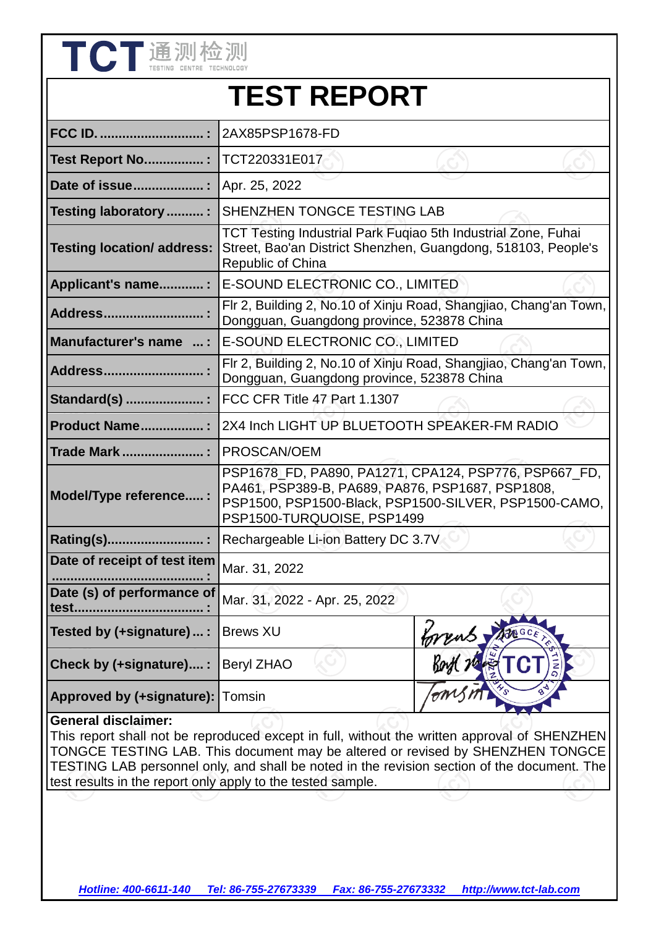| TCT通测检测                                                                                                                                                                                                                                                                                                     |                                                                                                                                                                                                  |                                                                                                                                |  |  |  |  |
|-------------------------------------------------------------------------------------------------------------------------------------------------------------------------------------------------------------------------------------------------------------------------------------------------------------|--------------------------------------------------------------------------------------------------------------------------------------------------------------------------------------------------|--------------------------------------------------------------------------------------------------------------------------------|--|--|--|--|
|                                                                                                                                                                                                                                                                                                             | <b>TEST REPORT</b>                                                                                                                                                                               |                                                                                                                                |  |  |  |  |
| <b>FCC ID. </b>                                                                                                                                                                                                                                                                                             | 2AX85PSP1678-FD                                                                                                                                                                                  |                                                                                                                                |  |  |  |  |
| <b>Test Report No:</b>                                                                                                                                                                                                                                                                                      | TCT220331E017                                                                                                                                                                                    |                                                                                                                                |  |  |  |  |
| Date of issue                                                                                                                                                                                                                                                                                               | Apr. 25, 2022                                                                                                                                                                                    |                                                                                                                                |  |  |  |  |
| Testing laboratory :                                                                                                                                                                                                                                                                                        | SHENZHEN TONGCE TESTING LAB                                                                                                                                                                      |                                                                                                                                |  |  |  |  |
| <b>Testing location/ address:</b>                                                                                                                                                                                                                                                                           | Republic of China                                                                                                                                                                                | TCT Testing Industrial Park Fuqiao 5th Industrial Zone, Fuhai<br>Street, Bao'an District Shenzhen, Guangdong, 518103, People's |  |  |  |  |
| Applicant's name:                                                                                                                                                                                                                                                                                           | E-SOUND ELECTRONIC CO., LIMITED                                                                                                                                                                  |                                                                                                                                |  |  |  |  |
| Address                                                                                                                                                                                                                                                                                                     |                                                                                                                                                                                                  | Flr 2, Building 2, No.10 of Xinju Road, Shangjiao, Chang'an Town,<br>Dongguan, Guangdong province, 523878 China                |  |  |  |  |
| Manufacturer's name  :                                                                                                                                                                                                                                                                                      | E-SOUND ELECTRONIC CO., LIMITED                                                                                                                                                                  |                                                                                                                                |  |  |  |  |
| <b>Address</b>                                                                                                                                                                                                                                                                                              | Flr 2, Building 2, No.10 of Xinju Road, Shangjiao, Chang'an Town,<br>Dongguan, Guangdong province, 523878 China                                                                                  |                                                                                                                                |  |  |  |  |
| Standard(s)                                                                                                                                                                                                                                                                                                 | FCC CFR Title 47 Part 1.1307                                                                                                                                                                     |                                                                                                                                |  |  |  |  |
| Product Name                                                                                                                                                                                                                                                                                                | 2X4 Inch LIGHT UP BLUETOOTH SPEAKER-FM RADIO                                                                                                                                                     |                                                                                                                                |  |  |  |  |
| <b>Trade Mark</b>                                                                                                                                                                                                                                                                                           | PROSCAN/OEM                                                                                                                                                                                      |                                                                                                                                |  |  |  |  |
| Model/Type reference:                                                                                                                                                                                                                                                                                       | PSP1678 FD, PA890, PA1271, CPA124, PSP776, PSP667_FD,<br>PA461, PSP389-B, PA689, PA876, PSP1687, PSP1808,<br>PSP1500, PSP1500-Black, PSP1500-SILVER, PSP1500-CAMO,<br>PSP1500-TURQUOISE, PSP1499 |                                                                                                                                |  |  |  |  |
| Rating(s).                                                                                                                                                                                                                                                                                                  | Rechargeable Li-ion Battery DC 3.7V                                                                                                                                                              |                                                                                                                                |  |  |  |  |
| Date of receipt of test item                                                                                                                                                                                                                                                                                | Mar. 31, 2022                                                                                                                                                                                    |                                                                                                                                |  |  |  |  |
| Date (s) of performance of<br>test                                                                                                                                                                                                                                                                          | Mar. 31, 2022 - Apr. 25, 2022                                                                                                                                                                    |                                                                                                                                |  |  |  |  |
| Tested by (+signature) :                                                                                                                                                                                                                                                                                    | <b>Brews XU</b>                                                                                                                                                                                  |                                                                                                                                |  |  |  |  |
| Check by (+signature) :                                                                                                                                                                                                                                                                                     | <b>Beryl ZHAO</b>                                                                                                                                                                                |                                                                                                                                |  |  |  |  |
| <b>Approved by (+signature): Tomsin</b>                                                                                                                                                                                                                                                                     |                                                                                                                                                                                                  |                                                                                                                                |  |  |  |  |
| <b>General disclaimer:</b><br>This report shall not be reproduced except in full, without the written approval of SHENZHEN<br>TONGCE TESTING LAB. This document may be altered or revised by SHENZHEN TONGCE<br>TESTING LAB personnel only, and shall be noted in the revision section of the document. The |                                                                                                                                                                                                  |                                                                                                                                |  |  |  |  |

test results in the report only apply to the tested sample.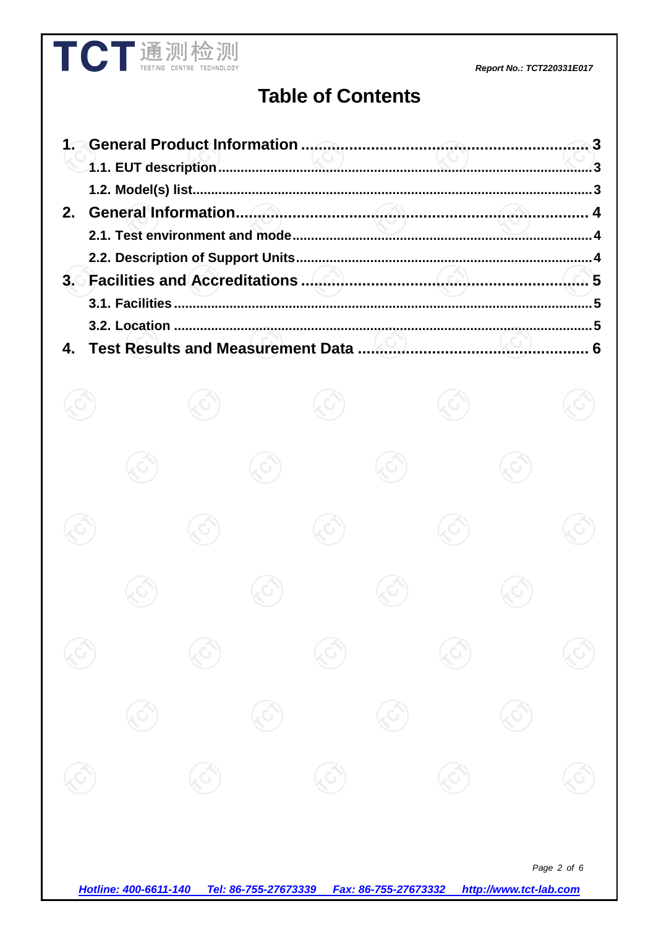#### Report No.: TCT220331E017

# **Table of Contents**

**TCT** 通测检测

|  |  | 6 |
|--|--|---|

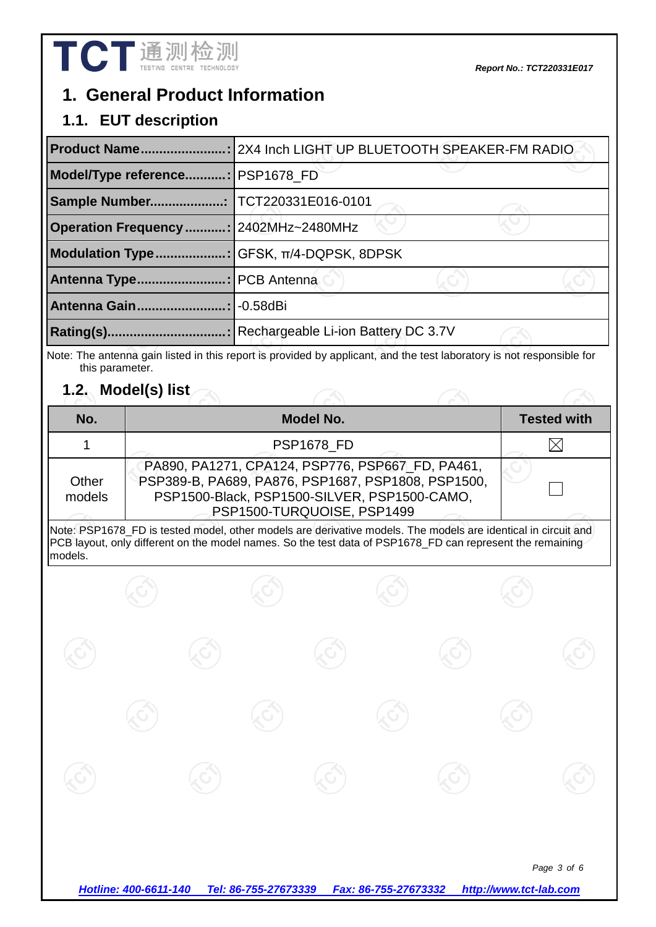## **1. General Product Information**

### **1.1. EUT description**

| <b>Product Name</b>                     | : 2X4 Inch LIGHT UP BLUETOOTH SPEAKER-FM RADIO |  |  |  |  |
|-----------------------------------------|------------------------------------------------|--|--|--|--|
| <b>Model/Type reference</b>             | : PSP1678 FD                                   |  |  |  |  |
| <b>Sample Number</b>                    | TCT220331E016-0101                             |  |  |  |  |
| Operation Frequency :   2402MHz~2480MHz |                                                |  |  |  |  |
| <b>Modulation Type</b>                  | ¶GFSK, π/4-DQPSK, 8DPSK                        |  |  |  |  |
| <b>Antenna Type</b>                     | :   PCB Antenna                                |  |  |  |  |
| <b>Antenna Gain</b>                     | $-0.58$ dBi                                    |  |  |  |  |
| Rating(s).                              | Rechargeable Li-ion Battery DC 3.7V            |  |  |  |  |

Note: The antenna gain listed in this report is provided by applicant, and the test laboratory is not responsible for this parameter.

## **1.2. Model(s) list**

| No.             | <b>Model No.</b>                                                                                                                                                                     | <b>Tested with</b> |
|-----------------|--------------------------------------------------------------------------------------------------------------------------------------------------------------------------------------|--------------------|
|                 | <b>PSP1678 FD</b>                                                                                                                                                                    |                    |
| Other<br>models | PA890, PA1271, CPA124, PSP776, PSP667_FD, PA461,<br>PSP389-B, PA689, PA876, PSP1687, PSP1808, PSP1500,<br>PSP1500-Black, PSP1500-SILVER, PSP1500-CAMO,<br>PSP1500-TURQUOISE, PSP1499 |                    |

Note: PSP1678\_FD is tested model, other models are derivative models. The models are identical in circuit and PCB layout, only different on the model names. So the test data of PSP1678 FD can represent the remaining models.

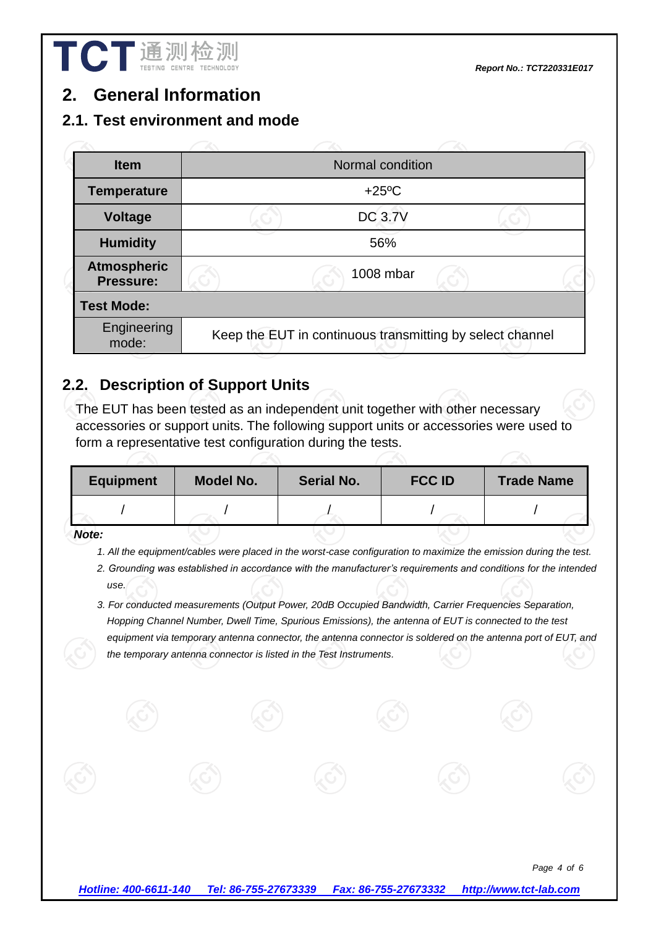*Report No.: TCT220331E017*

## **2. General Information**

#### **2.1. Test environment and mode**

| <b>Item</b>                     | Normal condition                                          |                 |  |  |  |
|---------------------------------|-----------------------------------------------------------|-----------------|--|--|--|
| <b>Temperature</b>              |                                                           | $+25^{\circ}$ C |  |  |  |
| <b>Voltage</b>                  |                                                           | <b>DC 3.7V</b>  |  |  |  |
| <b>Humidity</b>                 |                                                           | 56%             |  |  |  |
| <b>Atmospheric</b><br>Pressure: |                                                           | 1008 mbar       |  |  |  |
| <b>Test Mode:</b>               |                                                           |                 |  |  |  |
| Engineering<br>mode:            | Keep the EUT in continuous transmitting by select channel |                 |  |  |  |
|                                 |                                                           |                 |  |  |  |

#### **2.2. Description of Support Units**

The EUT has been tested as an independent unit together with other necessary accessories or support units. The following support units or accessories were used to form a representative test configuration during the tests.

| <b>Equipment</b> | <b>Model No.</b> | <b>Serial No.</b> | <b>FCC ID</b> | <b>Trade Name</b> |
|------------------|------------------|-------------------|---------------|-------------------|
|                  |                  |                   |               |                   |
| $\mathbf{A}$ .   |                  |                   |               |                   |

*Note:* 

- *1. All the equipment/cables were placed in the worst-case configuration to maximize the emission during the test.*
- *2. Grounding was established in accordance with the manufacturer's requirements and conditions for the intended use.*
- *3. For conducted measurements (Output Power, 20dB Occupied Bandwidth, Carrier Frequencies Separation, Hopping Channel Number, Dwell Time, Spurious Emissions), the antenna of EUT is connected to the test equipment via temporary antenna connector, the antenna connector is soldered on the antenna port of EUT, and the temporary antenna connector is listed in the Test Instruments.*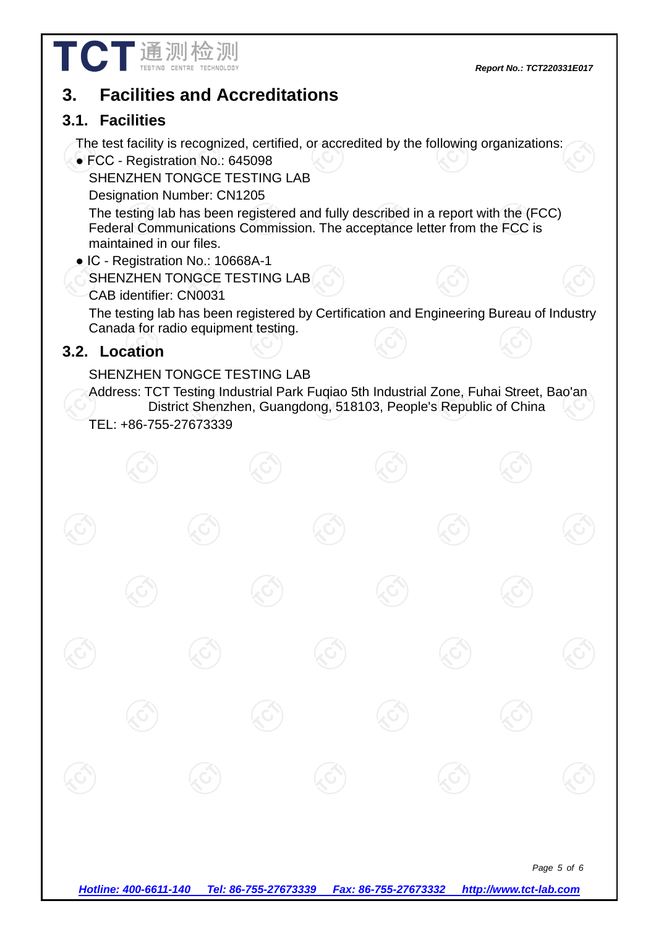

## **3. Facilities and Accreditations**

#### **3.1. Facilities**

The test facility is recognized, certified, or accredited by the following organizations:

● FCC - Registration No.: 645098

SHENZHEN TONGCE TESTING LAB

Designation Number: CN1205

The testing lab has been registered and fully described in a report with the (FCC) Federal Communications Commission. The acceptance letter from the FCC is maintained in our files.

- IC Registration No.: 10668A-1
	- SHENZHEN TONGCE TESTING LAB
	- CAB identifier: CN0031

The testing lab has been registered by Certification and Engineering Bureau of Industry Canada for radio equipment testing.

#### **3.2. Location**

#### SHENZHEN TONGCE TESTING LAB

Address: TCT Testing Industrial Park Fuqiao 5th Industrial Zone, Fuhai Street, Bao'an District Shenzhen, Guangdong, 518103, People's Republic of China TEL: +86-755-27673339